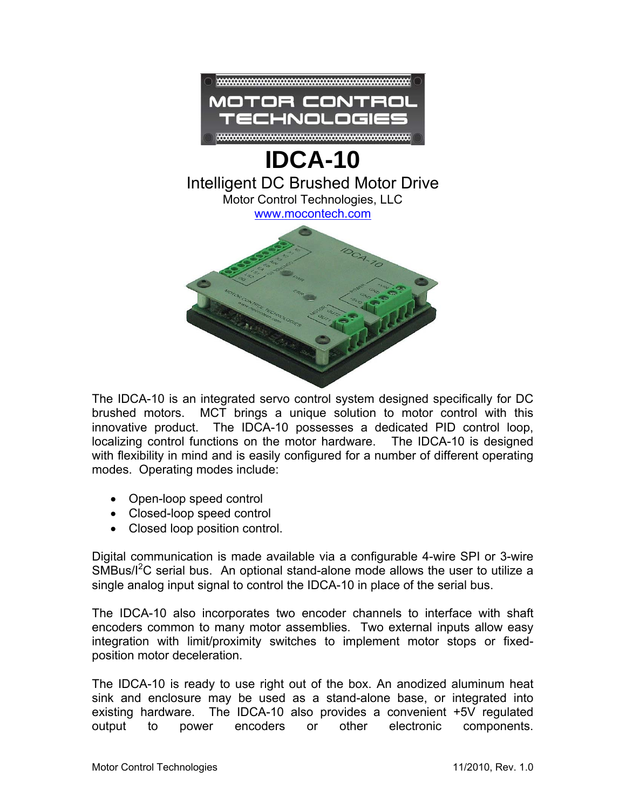

## **IDCA-10**  Intelligent DC Brushed Motor Drive Motor Control Technologies, LLC [www.mocontech.com](http://www.mocontech.com/)



The IDCA-10 is an integrated servo control system designed specifically for DC brushed motors. MCT brings a unique solution to motor control with this innovative product. The IDCA-10 possesses a dedicated PID control loop, localizing control functions on the motor hardware. The IDCA-10 is designed with flexibility in mind and is easily configured for a number of different operating modes. Operating modes include:

- Open-loop speed control
- Closed-loop speed control
- Closed loop position control.

Digital communication is made available via a configurable 4-wire SPI or 3-wire  $SMBus/I<sup>2</sup>C$  serial bus. An optional stand-alone mode allows the user to utilize a single analog input signal to control the IDCA-10 in place of the serial bus.

The IDCA-10 also incorporates two encoder channels to interface with shaft encoders common to many motor assemblies. Two external inputs allow easy integration with limit/proximity switches to implement motor stops or fixedposition motor deceleration.

The IDCA-10 is ready to use right out of the box. An anodized aluminum heat sink and enclosure may be used as a stand-alone base, or integrated into existing hardware. The IDCA-10 also provides a convenient +5V regulated output to power encoders or other electronic components.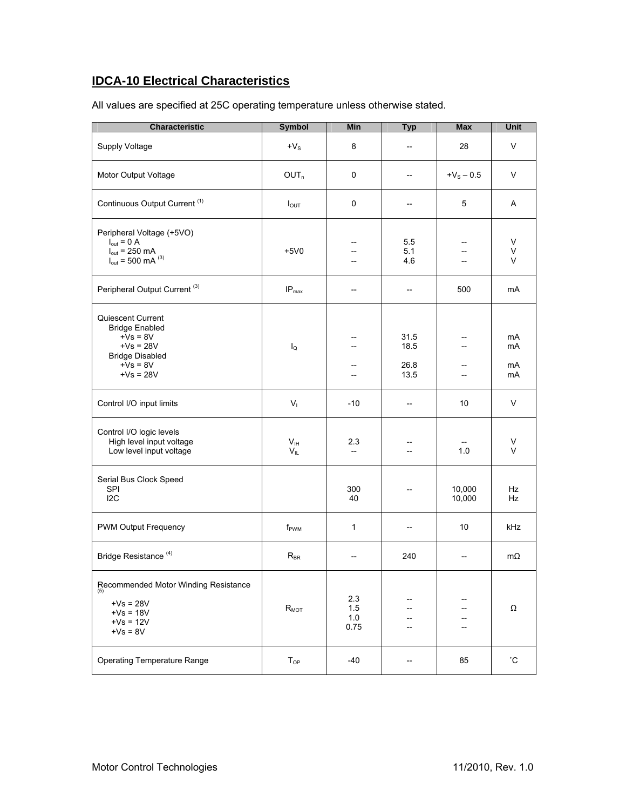## **IDCA-10 Electrical Characteristics**

| All values are specified at 25C operating temperature unless otherwise stated. |
|--------------------------------------------------------------------------------|
|--------------------------------------------------------------------------------|

| <b>Characteristic</b>                                                                                                          | <b>Symbol</b>               | Min                       | <b>Typ</b>                                          | <b>Max</b>                       | Unit                 |
|--------------------------------------------------------------------------------------------------------------------------------|-----------------------------|---------------------------|-----------------------------------------------------|----------------------------------|----------------------|
| Supply Voltage                                                                                                                 | $+V_{\rm S}$                | 8                         | $\overline{\phantom{a}}$                            | 28                               | V                    |
| Motor Output Voltage                                                                                                           | OUT <sub>n</sub>            | $\pmb{0}$                 | $\overline{\phantom{a}}$                            | $+V_{S} - 0.5$                   | $\vee$               |
| Continuous Output Current <sup>(1)</sup>                                                                                       | $I_{\text{OUT}}$            | 0                         | $\overline{\phantom{a}}$                            | 5                                | A                    |
| Peripheral Voltage (+5VO)<br>$I_{\text{out}} = 0$ A<br>$I_{\text{out}}$ = 250 mA<br>$I_{\text{out}}$ = 500 mA $^{(3)}$         | $+5V0$                      |                           | 55<br>5.1<br>4.6                                    |                                  | V<br>V<br>$\vee$     |
| Peripheral Output Current <sup>(3)</sup>                                                                                       | IP <sub>max</sub>           | $-$                       | $\hspace{0.05cm} -\hspace{0.05cm} -\hspace{0.05cm}$ | 500                              | mA                   |
| Quiescent Current<br><b>Bridge Enabled</b><br>$+Vs = 8V$<br>$+Vs = 28V$<br><b>Bridge Disabled</b><br>$+Vs = 8V$<br>$+Vs = 28V$ | $I_{\Omega}$                | --                        | 31.5<br>18.5<br>26.8<br>13.5                        | $\overline{a}$<br>$\overline{a}$ | mA<br>mA<br>mA<br>mA |
| Control I/O input limits                                                                                                       | $V_{1}$                     | $-10$                     | $\overline{\phantom{a}}$                            | 10                               | V                    |
| Control I/O logic levels<br>High level input voltage<br>Low level input voltage                                                | V <sub>IH</sub><br>$V_{IL}$ | 2.3<br>$-$                | --<br>--                                            | 1.0                              | V<br>$\vee$          |
| Serial Bus Clock Speed<br>SPI<br>12C                                                                                           |                             | 300<br>40                 |                                                     | 10,000<br>10,000                 | Hz<br>Hz             |
| PWM Output Frequency                                                                                                           | f <sub>PWM</sub>            | 1                         | --                                                  | 10                               | kHz                  |
| Bridge Resistance <sup>(4)</sup>                                                                                               | $R_{BR}$                    |                           | 240                                                 | --                               | $m\Omega$            |
| Recommended Motor Winding Resistance<br>(5)<br>$+Vs = 28V$<br>$+Vs = 18V$<br>$+Vs = 12V$<br>$+Vs = 8V$                         | $R_{MOT}$                   | 2.3<br>1.5<br>1.0<br>0.75 | --<br>--<br>--<br>$\overline{\phantom{a}}$          | $\overline{\phantom{a}}$         | Ω                    |
| <b>Operating Temperature Range</b>                                                                                             | T <sub>OP</sub>             | $-40$                     | --                                                  | 85                               | $^\circ \text{C}$    |